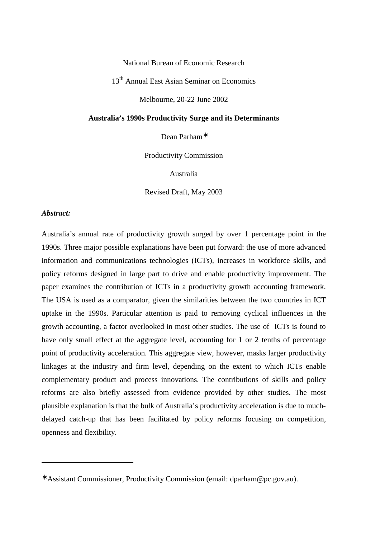National Bureau of Economic Research

13<sup>th</sup> Annual East Asian Seminar on Economics

Melbourne, 20-22 June 2002

#### **Australia's 1990s Productivity Surge and its Determinants**

Dean Parham∗

Productivity Commission

Australia

Revised Draft, May 2003

#### *Abstract:*

-

Australia's annual rate of productivity growth surged by over 1 percentage point in the 1990s. Three major possible explanations have been put forward: the use of more advanced information and communications technologies (ICTs), increases in workforce skills, and policy reforms designed in large part to drive and enable productivity improvement. The paper examines the contribution of ICTs in a productivity growth accounting framework. The USA is used as a comparator, given the similarities between the two countries in ICT uptake in the 1990s. Particular attention is paid to removing cyclical influences in the growth accounting, a factor overlooked in most other studies. The use of ICTs is found to have only small effect at the aggregate level, accounting for 1 or 2 tenths of percentage point of productivity acceleration. This aggregate view, however, masks larger productivity linkages at the industry and firm level, depending on the extent to which ICTs enable complementary product and process innovations. The contributions of skills and policy reforms are also briefly assessed from evidence provided by other studies. The most plausible explanation is that the bulk of Australia's productivity acceleration is due to muchdelayed catch-up that has been facilitated by policy reforms focusing on competition, openness and flexibility.

<sup>∗</sup> Assistant Commissioner, Productivity Commission (email: dparham@pc.gov.au).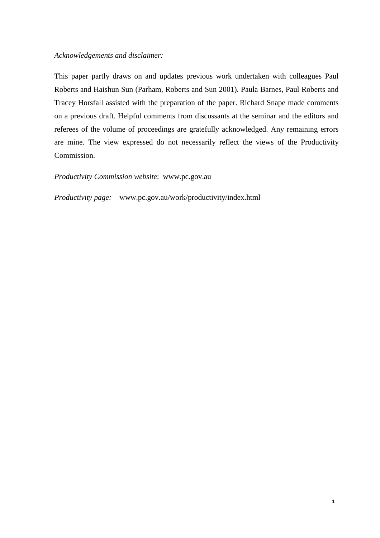### *Acknowledgements and disclaimer:*

This paper partly draws on and updates previous work undertaken with colleagues Paul Roberts and Haishun Sun (Parham, Roberts and Sun 2001). Paula Barnes, Paul Roberts and Tracey Horsfall assisted with the preparation of the paper. Richard Snape made comments on a previous draft. Helpful comments from discussants at the seminar and the editors and referees of the volume of proceedings are gratefully acknowledged. Any remaining errors are mine. The view expressed do not necessarily reflect the views of the Productivity Commission.

#### *Productivity Commission website*: www.pc.gov.au

*Productivity page:* www.pc.gov.au/work/productivity/index.html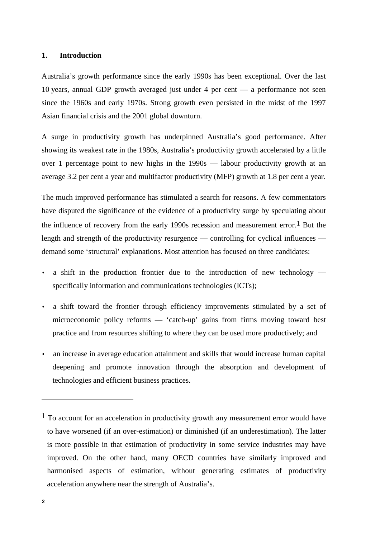### **1. Introduction**

Australia's growth performance since the early 1990s has been exceptional. Over the last 10 years, annual GDP growth averaged just under 4 per cent — a performance not seen since the 1960s and early 1970s. Strong growth even persisted in the midst of the 1997 Asian financial crisis and the 2001 global downturn.

A surge in productivity growth has underpinned Australia's good performance. After showing its weakest rate in the 1980s, Australia's productivity growth accelerated by a little over 1 percentage point to new highs in the 1990s — labour productivity growth at an average 3.2 per cent a year and multifactor productivity (MFP) growth at 1.8 per cent a year.

The much improved performance has stimulated a search for reasons. A few commentators have disputed the significance of the evidence of a productivity surge by speculating about the influence of recovery from the early 1990s recession and measurement error.<sup>1</sup> But the length and strength of the productivity resurgence — controlling for cyclical influences demand some 'structural' explanations. Most attention has focused on three candidates:

- a shift in the production frontier due to the introduction of new technology specifically information and communications technologies (ICTs);
- a shift toward the frontier through efficiency improvements stimulated by a set of microeconomic policy reforms — 'catch-up' gains from firms moving toward best practice and from resources shifting to where they can be used more productively; and
- an increase in average education attainment and skills that would increase human capital deepening and promote innovation through the absorption and development of technologies and efficient business practices.

-

<sup>&</sup>lt;sup>1</sup> To account for an acceleration in productivity growth any measurement error would have to have worsened (if an over-estimation) or diminished (if an underestimation). The latter is more possible in that estimation of productivity in some service industries may have improved. On the other hand, many OECD countries have similarly improved and harmonised aspects of estimation, without generating estimates of productivity acceleration anywhere near the strength of Australia's.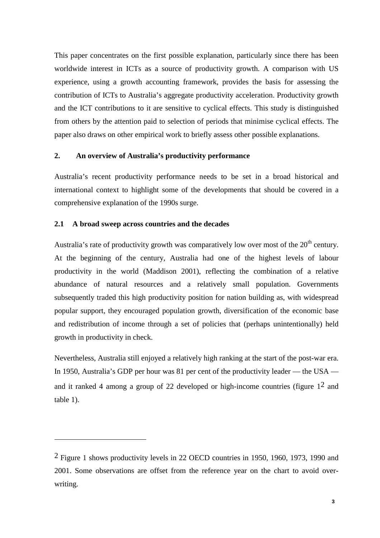This paper concentrates on the first possible explanation, particularly since there has been worldwide interest in ICTs as a source of productivity growth. A comparison with US experience, using a growth accounting framework, provides the basis for assessing the contribution of ICTs to Australia's aggregate productivity acceleration. Productivity growth and the ICT contributions to it are sensitive to cyclical effects. This study is distinguished from others by the attention paid to selection of periods that minimise cyclical effects. The paper also draws on other empirical work to briefly assess other possible explanations.

## **2. An overview of Australia's productivity performance**

Australia's recent productivity performance needs to be set in a broad historical and international context to highlight some of the developments that should be covered in a comprehensive explanation of the 1990s surge.

## **2.1 A broad sweep across countries and the decades**

 $\overline{a}$ 

Australia's rate of productivity growth was comparatively low over most of the  $20<sup>th</sup>$  century. At the beginning of the century, Australia had one of the highest levels of labour productivity in the world (Maddison 2001), reflecting the combination of a relative abundance of natural resources and a relatively small population. Governments subsequently traded this high productivity position for nation building as, with widespread popular support, they encouraged population growth, diversification of the economic base and redistribution of income through a set of policies that (perhaps unintentionally) held growth in productivity in check.

Nevertheless, Australia still enjoyed a relatively high ranking at the start of the post-war era. In 1950, Australia's GDP per hour was 81 per cent of the productivity leader — the USA and it ranked 4 among a group of 22 developed or high-income countries (figure  $1<sup>2</sup>$  and table 1).

<sup>2</sup> Figure 1 shows productivity levels in 22 OECD countries in 1950, 1960, 1973, 1990 and 2001. Some observations are offset from the reference year on the chart to avoid overwriting.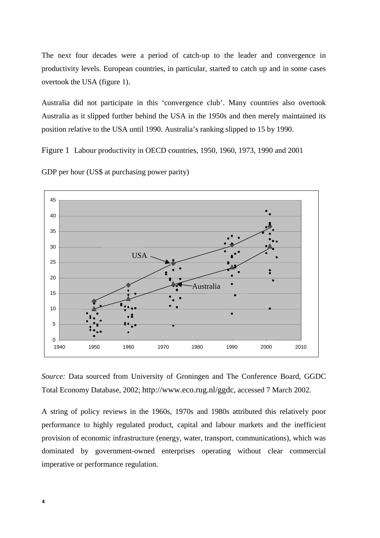The next four decades were a period of catch-up to the leader and convergence in productivity levels. European countries, in particular, started to catch up and in some cases overtook the USA (figure 1).

Australia did not participate in this 'convergence club'. Many countries also overtook Australia as it slipped further behind the USA in the 1950s and then merely maintained its position relative to the USA until 1990. Australia's ranking slipped to 15 by 1990.

Figure 1 Labour productivity in OECD countries, 1950, 1960, 1973, 1990 and 2001



GDP per hour (US\$ at purchasing power parity)

*Source:* Data sourced from University of Groningen and The Conference Board, GGDC Total Economy Database, 2002; http://www.eco.rug.nl/ggdc, accessed 7 March 2002.

A string of policy reviews in the 1960s, 1970s and 1980s attributed this relatively poor performance to highly regulated product, capital and labour markets and the inefficient provision of economic infrastructure (energy, water, transport, communications), which was dominated by government-owned enterprises operating without clear commercial imperative or performance regulation.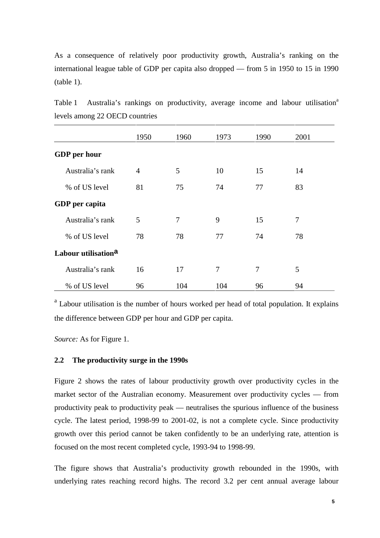As a consequence of relatively poor productivity growth, Australia's ranking on the international league table of GDP per capita also dropped — from 5 in 1950 to 15 in 1990 (table 1).

|                                 | 1950           | 1960 | 1973 | 1990 | 2001 |  |
|---------------------------------|----------------|------|------|------|------|--|
| <b>GDP</b> per hour             |                |      |      |      |      |  |
| Australia's rank                | $\overline{4}$ | 5    | 10   | 15   | 14   |  |
| % of US level                   | 81             | 75   | 74   | 77   | 83   |  |
| GDP per capita                  |                |      |      |      |      |  |
| Australia's rank                | 5              | 7    | 9    | 15   | 7    |  |
| % of US level                   | 78             | 78   | 77   | 74   | 78   |  |
| Labour utilisation <sup>a</sup> |                |      |      |      |      |  |
| Australia's rank                | 16             | 17   | 7    | 7    | 5    |  |
| % of US level                   | 96             | 104  | 104  | 96   | 94   |  |

Table 1 Australia's rankings on productivity, average income and labour utilisation<sup>a</sup> levels among 22 OECD countries

<sup>a</sup> Labour utilisation is the number of hours worked per head of total population. It explains the difference between GDP per hour and GDP per capita.

*Source:* As for Figure 1.

## **2.2 The productivity surge in the 1990s**

Figure 2 shows the rates of labour productivity growth over productivity cycles in the market sector of the Australian economy. Measurement over productivity cycles — from productivity peak to productivity peak — neutralises the spurious influence of the business cycle. The latest period, 1998-99 to 2001-02, is not a complete cycle. Since productivity growth over this period cannot be taken confidently to be an underlying rate, attention is focused on the most recent completed cycle, 1993-94 to 1998-99.

The figure shows that Australia's productivity growth rebounded in the 1990s, with underlying rates reaching record highs. The record 3.2 per cent annual average labour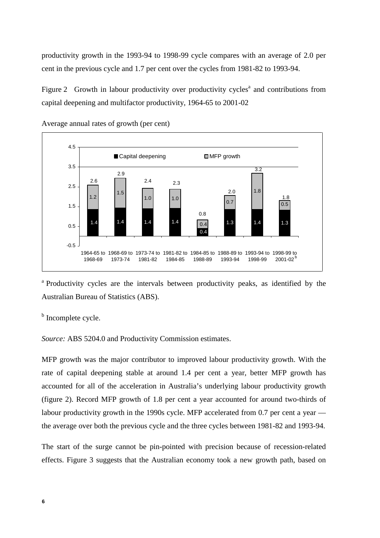productivity growth in the 1993-94 to 1998-99 cycle compares with an average of 2.0 per cent in the previous cycle and 1.7 per cent over the cycles from 1981-82 to 1993-94.

Figure 2 Growth in labour productivity over productivity cycles<sup>a</sup> and contributions from capital deepening and multifactor productivity, 1964-65 to 2001-02



Average annual rates of growth (per cent)

<sup>a</sup> Productivity cycles are the intervals between productivity peaks, as identified by the Australian Bureau of Statistics (ABS).

<sup>b</sup> Incomplete cycle.

*Source:* ABS 5204.0 and Productivity Commission estimates.

MFP growth was the major contributor to improved labour productivity growth. With the rate of capital deepening stable at around 1.4 per cent a year, better MFP growth has accounted for all of the acceleration in Australia's underlying labour productivity growth (figure 2). Record MFP growth of 1.8 per cent a year accounted for around two-thirds of labour productivity growth in the 1990s cycle. MFP accelerated from 0.7 per cent a year the average over both the previous cycle and the three cycles between 1981-82 and 1993-94.

The start of the surge cannot be pin-pointed with precision because of recession-related effects. Figure 3 suggests that the Australian economy took a new growth path, based on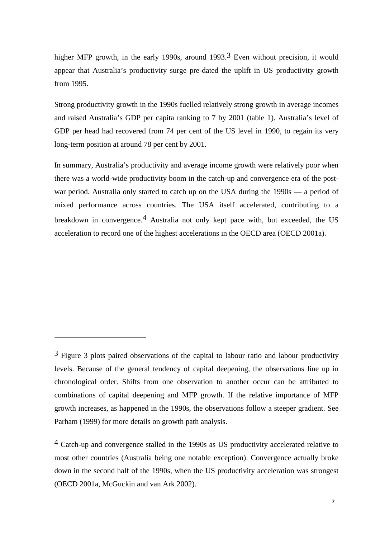higher MFP growth, in the early 1990s, around 1993.<sup>3</sup> Even without precision, it would appear that Australia's productivity surge pre-dated the uplift in US productivity growth from 1995.

Strong productivity growth in the 1990s fuelled relatively strong growth in average incomes and raised Australia's GDP per capita ranking to 7 by 2001 (table 1). Australia's level of GDP per head had recovered from 74 per cent of the US level in 1990, to regain its very long-term position at around 78 per cent by 2001.

In summary, Australia's productivity and average income growth were relatively poor when there was a world-wide productivity boom in the catch-up and convergence era of the postwar period. Australia only started to catch up on the USA during the 1990s — a period of mixed performance across countries. The USA itself accelerated, contributing to a breakdown in convergence.4 Australia not only kept pace with, but exceeded, the US acceleration to record one of the highest accelerations in the OECD area (OECD 2001a).

 $\overline{a}$ 

<sup>&</sup>lt;sup>3</sup> Figure 3 plots paired observations of the capital to labour ratio and labour productivity levels. Because of the general tendency of capital deepening, the observations line up in chronological order. Shifts from one observation to another occur can be attributed to combinations of capital deepening and MFP growth. If the relative importance of MFP growth increases, as happened in the 1990s, the observations follow a steeper gradient. See Parham (1999) for more details on growth path analysis.

<sup>4</sup> Catch-up and convergence stalled in the 1990s as US productivity accelerated relative to most other countries (Australia being one notable exception). Convergence actually broke down in the second half of the 1990s, when the US productivity acceleration was strongest (OECD 2001a, McGuckin and van Ark 2002).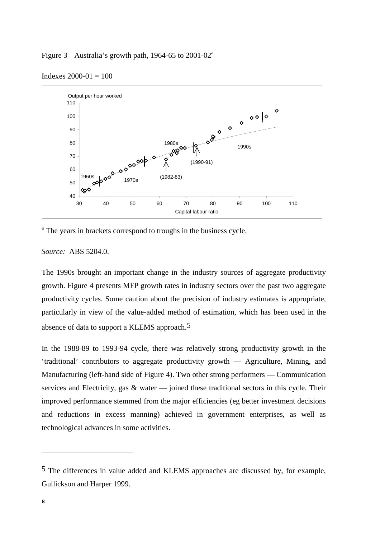Figure 3 Australia's growth path,  $1964-65$  to  $2001-02^a$ 



Indexes 2000-01 = 100

<sup>a</sup> The years in brackets correspond to troughs in the business cycle.

*Source:* ABS 5204.0.

The 1990s brought an important change in the industry sources of aggregate productivity growth. Figure 4 presents MFP growth rates in industry sectors over the past two aggregate productivity cycles. Some caution about the precision of industry estimates is appropriate, particularly in view of the value-added method of estimation, which has been used in the absence of data to support a KLEMS approach.<sup>5</sup>

In the 1988-89 to 1993-94 cycle, there was relatively strong productivity growth in the 'traditional' contributors to aggregate productivity growth — Agriculture, Mining, and Manufacturing (left-hand side of Figure 4). Two other strong performers — Communication services and Electricity, gas  $\&$  water — joined these traditional sectors in this cycle. Their improved performance stemmed from the major efficiencies (eg better investment decisions and reductions in excess manning) achieved in government enterprises, as well as technological advances in some activities.

-

<sup>5</sup> The differences in value added and KLEMS approaches are discussed by, for example, Gullickson and Harper 1999.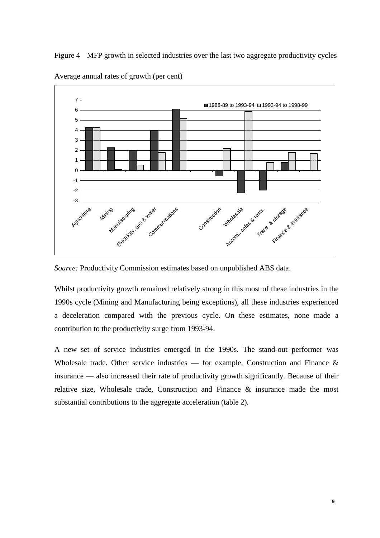Figure 4 MFP growth in selected industries over the last two aggregate productivity cycles



Average annual rates of growth (per cent)

*Source:* Productivity Commission estimates based on unpublished ABS data.

Whilst productivity growth remained relatively strong in this most of these industries in the 1990s cycle (Mining and Manufacturing being exceptions), all these industries experienced a deceleration compared with the previous cycle. On these estimates, none made a contribution to the productivity surge from 1993-94.

A new set of service industries emerged in the 1990s. The stand-out performer was Wholesale trade. Other service industries — for example, Construction and Finance  $\&$ insurance — also increased their rate of productivity growth significantly. Because of their relative size, Wholesale trade, Construction and Finance & insurance made the most substantial contributions to the aggregate acceleration (table 2).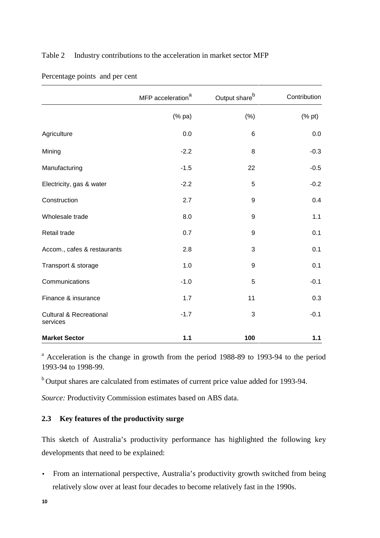# Table 2 Industry contributions to the acceleration in market sector MFP

|                                                | MFP acceleration <sup>a</sup> | Output share <sup>b</sup> | Contribution            |
|------------------------------------------------|-------------------------------|---------------------------|-------------------------|
|                                                | (% pa)                        | $(\%)$                    | $(% \mathbf{a})$ (% pt) |
| Agriculture                                    | 0.0                           | $6\phantom{1}6$           | 0.0                     |
| Mining                                         | $-2.2$                        | 8                         | $-0.3$                  |
| Manufacturing                                  | $-1.5$                        | 22                        | $-0.5$                  |
| Electricity, gas & water                       | $-2.2$                        | 5                         | $-0.2$                  |
| Construction                                   | 2.7                           | 9                         | 0.4                     |
| Wholesale trade                                | 8.0                           | $\boldsymbol{9}$          | 1.1                     |
| Retail trade                                   | 0.7                           | 9                         | 0.1                     |
| Accom., cafes & restaurants                    | 2.8                           | 3                         | 0.1                     |
| Transport & storage                            | 1.0                           | 9                         | 0.1                     |
| Communications                                 | $-1.0$                        | 5                         | $-0.1$                  |
| Finance & insurance                            | 1.7                           | 11                        | 0.3                     |
| <b>Cultural &amp; Recreational</b><br>services | $-1.7$                        | 3                         | $-0.1$                  |
| <b>Market Sector</b>                           | $1.1$                         | 100                       | $1.1$                   |

Percentage points and per cent

<sup>a</sup> Acceleration is the change in growth from the period 1988-89 to 1993-94 to the period 1993-94 to 1998-99.

b Output shares are calculated from estimates of current price value added for 1993-94.

*Source:* Productivity Commission estimates based on ABS data.

# **2.3 Key features of the productivity surge**

This sketch of Australia's productivity performance has highlighted the following key developments that need to be explained:

• From an international perspective, Australia's productivity growth switched from being relatively slow over at least four decades to become relatively fast in the 1990s.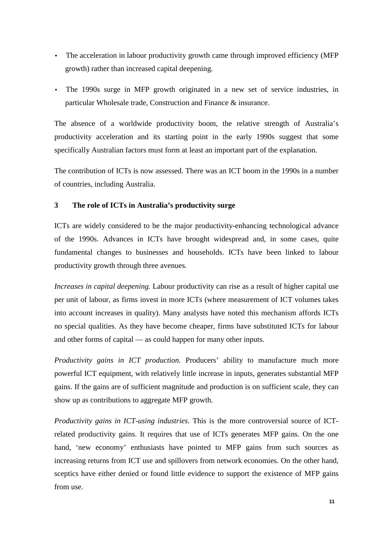- The acceleration in labour productivity growth came through improved efficiency (MFP) growth) rather than increased capital deepening.
- The 1990s surge in MFP growth originated in a new set of service industries, in particular Wholesale trade, Construction and Finance & insurance.

The absence of a worldwide productivity boom, the relative strength of Australia's productivity acceleration and its starting point in the early 1990s suggest that some specifically Australian factors must form at least an important part of the explanation.

The contribution of ICTs is now assessed. There was an ICT boom in the 1990s in a number of countries, including Australia.

# **3 The role of ICTs in Australia's productivity surge**

ICTs are widely considered to be the major productivity-enhancing technological advance of the 1990s. Advances in ICTs have brought widespread and, in some cases, quite fundamental changes to businesses and households. ICTs have been linked to labour productivity growth through three avenues.

*Increases in capital deepening.* Labour productivity can rise as a result of higher capital use per unit of labour, as firms invest in more ICTs (where measurement of ICT volumes takes into account increases in quality). Many analysts have noted this mechanism affords ICTs no special qualities. As they have become cheaper, firms have substituted ICTs for labour and other forms of capital — as could happen for many other inputs.

*Productivity gains in ICT production.* Producers' ability to manufacture much more powerful ICT equipment, with relatively little increase in inputs, generates substantial MFP gains. If the gains are of sufficient magnitude and production is on sufficient scale, they can show up as contributions to aggregate MFP growth.

*Productivity gains in ICT-using industries.* This is the more controversial source of ICTrelated productivity gains. It requires that use of ICTs generates MFP gains. On the one hand, 'new economy' enthusiasts have pointed to MFP gains from such sources as increasing returns from ICT use and spillovers from network economies. On the other hand, sceptics have either denied or found little evidence to support the existence of MFP gains from use.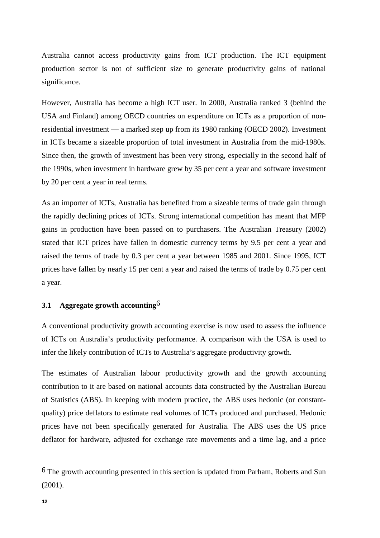Australia cannot access productivity gains from ICT production. The ICT equipment production sector is not of sufficient size to generate productivity gains of national significance.

However, Australia has become a high ICT user. In 2000, Australia ranked 3 (behind the USA and Finland) among OECD countries on expenditure on ICTs as a proportion of nonresidential investment — a marked step up from its 1980 ranking (OECD 2002). Investment in ICTs became a sizeable proportion of total investment in Australia from the mid-1980s. Since then, the growth of investment has been very strong, especially in the second half of the 1990s, when investment in hardware grew by 35 per cent a year and software investment by 20 per cent a year in real terms.

As an importer of ICTs, Australia has benefited from a sizeable terms of trade gain through the rapidly declining prices of ICTs. Strong international competition has meant that MFP gains in production have been passed on to purchasers. The Australian Treasury (2002) stated that ICT prices have fallen in domestic currency terms by 9.5 per cent a year and raised the terms of trade by 0.3 per cent a year between 1985 and 2001. Since 1995, ICT prices have fallen by nearly 15 per cent a year and raised the terms of trade by 0.75 per cent a year.

# **3.1 Aggregate growth accounting**6

A conventional productivity growth accounting exercise is now used to assess the influence of ICTs on Australia's productivity performance. A comparison with the USA is used to infer the likely contribution of ICTs to Australia's aggregate productivity growth.

The estimates of Australian labour productivity growth and the growth accounting contribution to it are based on national accounts data constructed by the Australian Bureau of Statistics (ABS). In keeping with modern practice, the ABS uses hedonic (or constantquality) price deflators to estimate real volumes of ICTs produced and purchased. Hedonic prices have not been specifically generated for Australia. The ABS uses the US price deflator for hardware, adjusted for exchange rate movements and a time lag, and a price

-

<sup>6</sup> The growth accounting presented in this section is updated from Parham, Roberts and Sun (2001).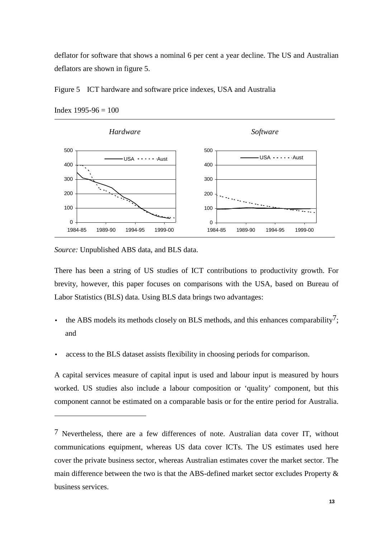deflator for software that shows a nominal 6 per cent a year decline. The US and Australian deflators are shown in figure 5.





Index 1995-96 = 100

 $\overline{a}$ 

*Source:* Unpublished ABS data, and BLS data.

There has been a string of US studies of ICT contributions to productivity growth. For brevity, however, this paper focuses on comparisons with the USA, based on Bureau of Labor Statistics (BLS) data. Using BLS data brings two advantages:

- the ABS models its methods closely on BLS methods, and this enhances comparability<sup>7</sup>; and
- access to the BLS dataset assists flexibility in choosing periods for comparison.

A capital services measure of capital input is used and labour input is measured by hours worked. US studies also include a labour composition or 'quality' component, but this component cannot be estimated on a comparable basis or for the entire period for Australia.

<sup>7</sup> Nevertheless, there are a few differences of note. Australian data cover IT, without communications equipment, whereas US data cover ICTs. The US estimates used here cover the private business sector, whereas Australian estimates cover the market sector. The main difference between the two is that the ABS-defined market sector excludes Property & business services.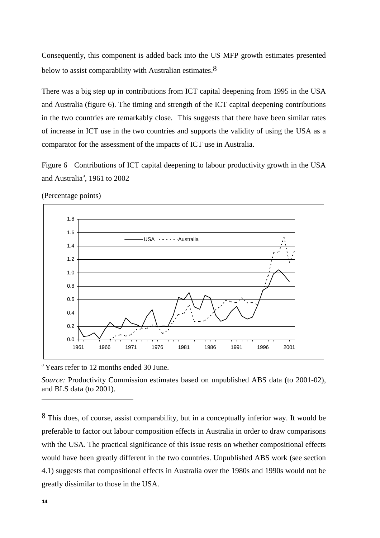Consequently, this component is added back into the US MFP growth estimates presented below to assist comparability with Australian estimates.  $8$ 

There was a big step up in contributions from ICT capital deepening from 1995 in the USA and Australia (figure 6). The timing and strength of the ICT capital deepening contributions in the two countries are remarkably close. This suggests that there have been similar rates of increase in ICT use in the two countries and supports the validity of using the USA as a comparator for the assessment of the impacts of ICT use in Australia.

Figure 6 Contributions of ICT capital deepening to labour productivity growth in the USA and Australia<sup>a</sup>, 1961 to 2002



(Percentage points)

<sup>a</sup> Years refer to 12 months ended 30 June.

*Source:* Productivity Commission estimates based on unpublished ABS data (to 2001-02), and BLS data (to 2001).

<sup>8</sup> This does, of course, assist comparability, but in a conceptually inferior way. It would be preferable to factor out labour composition effects in Australia in order to draw comparisons with the USA. The practical significance of this issue rests on whether compositional effects would have been greatly different in the two countries. Unpublished ABS work (see section 4.1) suggests that compositional effects in Australia over the 1980s and 1990s would not be greatly dissimilar to those in the USA.

-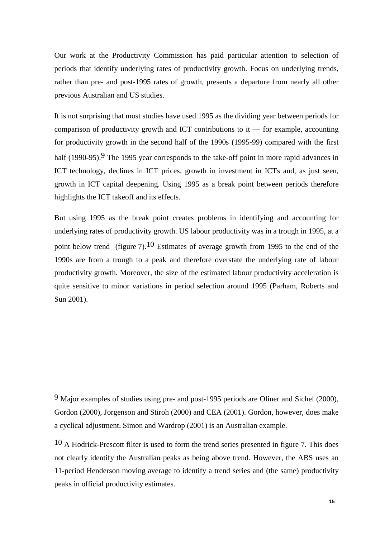Our work at the Productivity Commission has paid particular attention to selection of periods that identify underlying rates of productivity growth. Focus on underlying trends, rather than pre- and post-1995 rates of growth, presents a departure from nearly all other previous Australian and US studies.

It is not surprising that most studies have used 1995 as the dividing year between periods for comparison of productivity growth and ICT contributions to  $it$  — for example, accounting for productivity growth in the second half of the 1990s (1995-99) compared with the first half (1990-95).<sup>9</sup> The 1995 year corresponds to the take-off point in more rapid advances in ICT technology, declines in ICT prices, growth in investment in ICTs and, as just seen, growth in ICT capital deepening. Using 1995 as a break point between periods therefore highlights the ICT takeoff and its effects.

But using 1995 as the break point creates problems in identifying and accounting for underlying rates of productivity growth. US labour productivity was in a trough in 1995, at a point below trend (figure 7).<sup>10</sup> Estimates of average growth from 1995 to the end of the 1990s are from a trough to a peak and therefore overstate the underlying rate of labour productivity growth. Moreover, the size of the estimated labour productivity acceleration is quite sensitive to minor variations in period selection around 1995 (Parham, Roberts and Sun 2001).

 $\overline{a}$ 

<sup>9</sup> Major examples of studies using pre- and post-1995 periods are Oliner and Sichel (2000), Gordon (2000), Jorgenson and Stiroh (2000) and CEA (2001). Gordon, however, does make a cyclical adjustment. Simon and Wardrop (2001) is an Australian example.

 $10$  A Hodrick-Prescott filter is used to form the trend series presented in figure 7. This does not clearly identify the Australian peaks as being above trend. However, the ABS uses an 11-period Henderson moving average to identify a trend series and (the same) productivity peaks in official productivity estimates.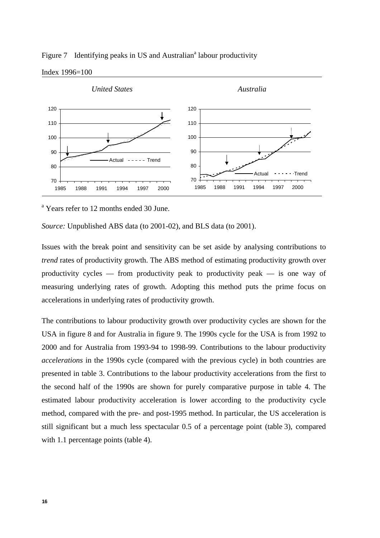

Figure 7 Identifying peaks in US and Australian<sup>a</sup> labour productivity

<sup>a</sup> Years refer to 12 months ended 30 June.

*Source:* Unpublished ABS data (to 2001-02), and BLS data (to 2001).

Issues with the break point and sensitivity can be set aside by analysing contributions to *trend* rates of productivity growth. The ABS method of estimating productivity growth over productivity cycles — from productivity peak to productivity peak — is one way of measuring underlying rates of growth. Adopting this method puts the prime focus on accelerations in underlying rates of productivity growth.

The contributions to labour productivity growth over productivity cycles are shown for the USA in figure 8 and for Australia in figure 9. The 1990s cycle for the USA is from 1992 to 2000 and for Australia from 1993-94 to 1998-99. Contributions to the labour productivity *accelerations* in the 1990s cycle (compared with the previous cycle) in both countries are presented in table 3. Contributions to the labour productivity accelerations from the first to the second half of the 1990s are shown for purely comparative purpose in table 4. The estimated labour productivity acceleration is lower according to the productivity cycle method, compared with the pre- and post-1995 method. In particular, the US acceleration is still significant but a much less spectacular 0.5 of a percentage point (table 3), compared with 1.1 percentage points (table 4).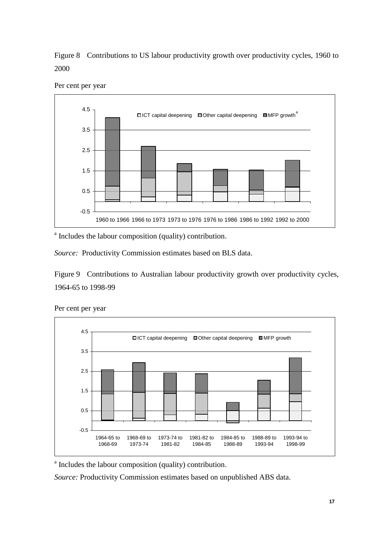Figure 8 Contributions to US labour productivity growth over productivity cycles, 1960 to 2000



Per cent per year

<sup>a</sup> Includes the labour composition (quality) contribution.

*Source:* Productivity Commission estimates based on BLS data.

Figure 9 Contributions to Australian labour productivity growth over productivity cycles, 1964-65 to 1998-99



Per cent per year

<sup>a</sup> Includes the labour composition (quality) contribution.

*Source:* Productivity Commission estimates based on unpublished ABS data.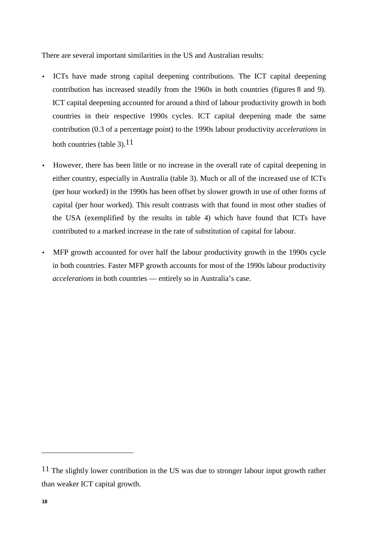There are several important similarities in the US and Australian results:

- ICTs have made strong capital deepening contributions. The ICT capital deepening contribution has increased steadily from the 1960s in both countries (figures 8 and 9). ICT capital deepening accounted for around a third of labour productivity growth in both countries in their respective 1990s cycles. ICT capital deepening made the same contribution (0.3 of a percentage point) to the 1990s labour productivity *accelerations* in both countries (table 3). $11$
- However, there has been little or no increase in the overall rate of capital deepening in either country, especially in Australia (table 3). Much or all of the increased use of ICTs (per hour worked) in the 1990s has been offset by slower growth in use of other forms of capital (per hour worked). This result contrasts with that found in most other studies of the USA (exemplified by the results in table 4) which have found that ICTs have contributed to a marked increase in the rate of substitution of capital for labour.
- MFP growth accounted for over half the labour productivity growth in the 1990s cycle in both countries. Faster MFP growth accounts for most of the 1990s labour productivity *accelerations* in both countries — entirely so in Australia's case.

-

<sup>&</sup>lt;sup>11</sup> The slightly lower contribution in the US was due to stronger labour input growth rather than weaker ICT capital growth.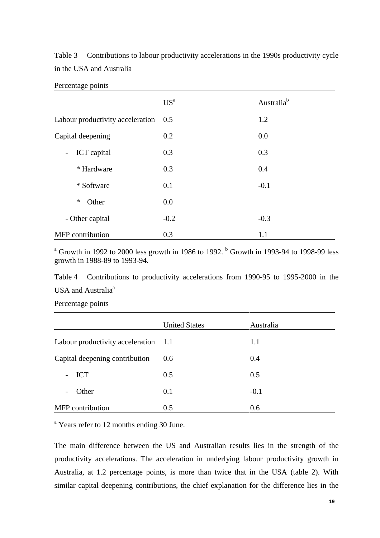Table 3 Contributions to labour productivity accelerations in the 1990s productivity cycle in the USA and Australia

|                                         | US <sup>a</sup> | Australia <sup>b</sup> |
|-----------------------------------------|-----------------|------------------------|
| Labour productivity acceleration        | 0.5             | 1.2                    |
| Capital deepening                       | 0.2             | 0.0                    |
| ICT capital<br>$\overline{\phantom{a}}$ | 0.3             | 0.3                    |
| * Hardware                              | 0.3             | 0.4                    |
| * Software                              | 0.1             | $-0.1$                 |
| ∗<br>Other                              | 0.0             |                        |
| - Other capital                         | $-0.2$          | $-0.3$                 |
| <b>MFP</b> contribution                 | 0.3             | 1.1                    |

Percentage points

<sup>a</sup> Growth in 1992 to 2000 less growth in 1986 to 1992.  $<sup>b</sup>$  Growth in 1993-94 to 1998-99 less</sup> growth in 1988-89 to 1993-94.

Table 4 Contributions to productivity accelerations from 1990-95 to 1995-2000 in the USA and Australia<sup>a</sup>

Percentage points

|                                      | <b>United States</b> | Australia |
|--------------------------------------|----------------------|-----------|
| Labour productivity acceleration 1.1 |                      | 1.1       |
| Capital deepening contribution       | 0.6                  | 0.4       |
| $-$ ICT                              | 0.5                  | 0.5       |
| Other<br>$\overline{\phantom{a}}$    | 0.1                  | $-0.1$    |
| <b>MFP</b> contribution              | 0.5                  | 0.6       |

<sup>a</sup> Years refer to 12 months ending 30 June.

The main difference between the US and Australian results lies in the strength of the productivity accelerations. The acceleration in underlying labour productivity growth in Australia, at 1.2 percentage points, is more than twice that in the USA (table 2). With similar capital deepening contributions, the chief explanation for the difference lies in the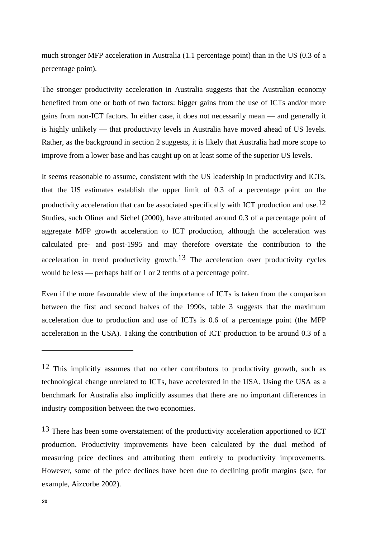much stronger MFP acceleration in Australia (1.1 percentage point) than in the US (0.3 of a percentage point).

The stronger productivity acceleration in Australia suggests that the Australian economy benefited from one or both of two factors: bigger gains from the use of ICTs and/or more gains from non-ICT factors. In either case, it does not necessarily mean — and generally it is highly unlikely — that productivity levels in Australia have moved ahead of US levels. Rather, as the background in section 2 suggests, it is likely that Australia had more scope to improve from a lower base and has caught up on at least some of the superior US levels.

It seems reasonable to assume, consistent with the US leadership in productivity and ICTs, that the US estimates establish the upper limit of 0.3 of a percentage point on the productivity acceleration that can be associated specifically with ICT production and use.12 Studies, such Oliner and Sichel (2000), have attributed around 0.3 of a percentage point of aggregate MFP growth acceleration to ICT production, although the acceleration was calculated pre- and post-1995 and may therefore overstate the contribution to the acceleration in trend productivity growth.<sup>13</sup> The acceleration over productivity cycles would be less — perhaps half or 1 or 2 tenths of a percentage point.

Even if the more favourable view of the importance of ICTs is taken from the comparison between the first and second halves of the 1990s, table 3 suggests that the maximum acceleration due to production and use of ICTs is 0.6 of a percentage point (the MFP acceleration in the USA). Taking the contribution of ICT production to be around 0.3 of a

<sup>13</sup> There has been some overstatement of the productivity acceleration apportioned to ICT production. Productivity improvements have been calculated by the dual method of measuring price declines and attributing them entirely to productivity improvements. However, some of the price declines have been due to declining profit margins (see, for example, Aizcorbe 2002).

-

<sup>12</sup> This implicitly assumes that no other contributors to productivity growth, such as technological change unrelated to ICTs, have accelerated in the USA. Using the USA as a benchmark for Australia also implicitly assumes that there are no important differences in industry composition between the two economies.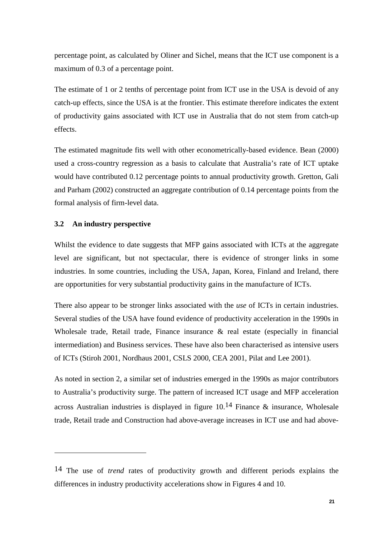percentage point, as calculated by Oliner and Sichel, means that the ICT use component is a maximum of 0.3 of a percentage point.

The estimate of 1 or 2 tenths of percentage point from ICT use in the USA is devoid of any catch-up effects, since the USA is at the frontier. This estimate therefore indicates the extent of productivity gains associated with ICT use in Australia that do not stem from catch-up effects.

The estimated magnitude fits well with other econometrically-based evidence. Bean (2000) used a cross-country regression as a basis to calculate that Australia's rate of ICT uptake would have contributed 0.12 percentage points to annual productivity growth. Gretton, Gali and Parham (2002) constructed an aggregate contribution of 0.14 percentage points from the formal analysis of firm-level data.

## **3.2 An industry perspective**

 $\overline{a}$ 

Whilst the evidence to date suggests that MFP gains associated with ICTs at the aggregate level are significant, but not spectacular, there is evidence of stronger links in some industries. In some countries, including the USA, Japan, Korea, Finland and Ireland, there are opportunities for very substantial productivity gains in the manufacture of ICTs.

There also appear to be stronger links associated with the *use* of ICTs in certain industries. Several studies of the USA have found evidence of productivity acceleration in the 1990s in Wholesale trade, Retail trade, Finance insurance & real estate (especially in financial intermediation) and Business services. These have also been characterised as intensive users of ICTs (Stiroh 2001, Nordhaus 2001, CSLS 2000, CEA 2001, Pilat and Lee 2001).

As noted in section 2, a similar set of industries emerged in the 1990s as major contributors to Australia's productivity surge. The pattern of increased ICT usage and MFP acceleration across Australian industries is displayed in figure  $10<sup>14</sup>$  Finance & insurance, Wholesale trade, Retail trade and Construction had above-average increases in ICT use and had above-

<sup>14</sup> The use of *trend* rates of productivity growth and different periods explains the differences in industry productivity accelerations show in Figures 4 and 10.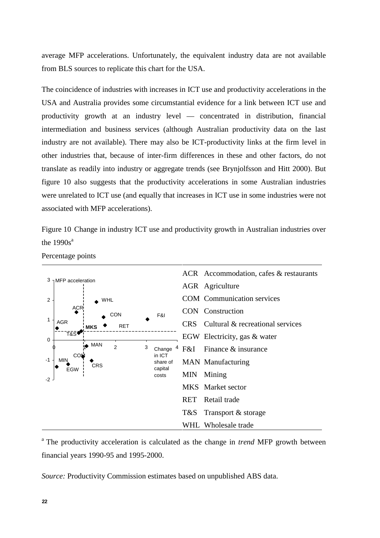average MFP accelerations. Unfortunately, the equivalent industry data are not available from BLS sources to replicate this chart for the USA.

The coincidence of industries with increases in ICT use and productivity accelerations in the USA and Australia provides some circumstantial evidence for a link between ICT use and productivity growth at an industry level — concentrated in distribution, financial intermediation and business services (although Australian productivity data on the last industry are not available). There may also be ICT-productivity links at the firm level in other industries that, because of inter-firm differences in these and other factors, do not translate as readily into industry or aggregate trends (see Brynjolfsson and Hitt 2000). But figure 10 also suggests that the productivity accelerations in some Australian industries were unrelated to ICT use (and equally that increases in ICT use in some industries were not associated with MFP accelerations).

Figure 10 Change in industry ICT use and productivity growth in Australian industries over the  $1990s^a$ 



Percentage points

a The productivity acceleration is calculated as the change in *trend* MFP growth between financial years 1990-95 and 1995-2000.

*Source:* Productivity Commission estimates based on unpublished ABS data.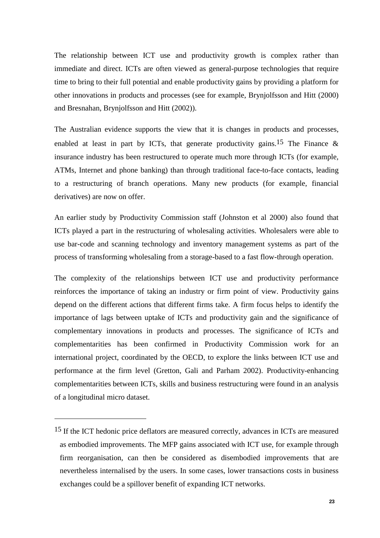The relationship between ICT use and productivity growth is complex rather than immediate and direct. ICTs are often viewed as general-purpose technologies that require time to bring to their full potential and enable productivity gains by providing a platform for other innovations in products and processes (see for example, Brynjolfsson and Hitt (2000) and Bresnahan, Brynjolfsson and Hitt (2002)).

The Australian evidence supports the view that it is changes in products and processes, enabled at least in part by ICTs, that generate productivity gains.<sup>15</sup> The Finance  $\&$ insurance industry has been restructured to operate much more through ICTs (for example, ATMs, Internet and phone banking) than through traditional face-to-face contacts, leading to a restructuring of branch operations. Many new products (for example, financial derivatives) are now on offer.

An earlier study by Productivity Commission staff (Johnston et al 2000) also found that ICTs played a part in the restructuring of wholesaling activities. Wholesalers were able to use bar-code and scanning technology and inventory management systems as part of the process of transforming wholesaling from a storage-based to a fast flow-through operation.

The complexity of the relationships between ICT use and productivity performance reinforces the importance of taking an industry or firm point of view. Productivity gains depend on the different actions that different firms take. A firm focus helps to identify the importance of lags between uptake of ICTs and productivity gain and the significance of complementary innovations in products and processes. The significance of ICTs and complementarities has been confirmed in Productivity Commission work for an international project, coordinated by the OECD, to explore the links between ICT use and performance at the firm level (Gretton, Gali and Parham 2002). Productivity-enhancing complementarities between ICTs, skills and business restructuring were found in an analysis of a longitudinal micro dataset.

 $\overline{a}$ 

<sup>15</sup> If the ICT hedonic price deflators are measured correctly, advances in ICTs are measured as embodied improvements. The MFP gains associated with ICT use, for example through firm reorganisation, can then be considered as disembodied improvements that are nevertheless internalised by the users. In some cases, lower transactions costs in business exchanges could be a spillover benefit of expanding ICT networks.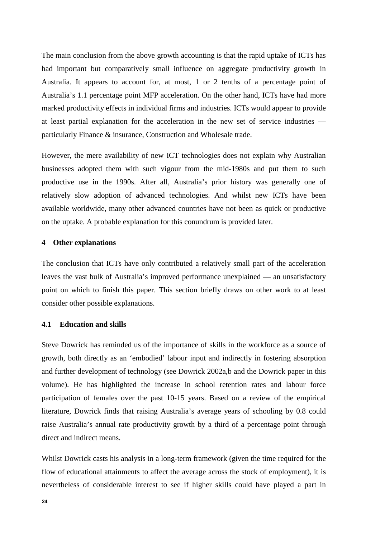The main conclusion from the above growth accounting is that the rapid uptake of ICTs has had important but comparatively small influence on aggregate productivity growth in Australia. It appears to account for, at most, 1 or 2 tenths of a percentage point of Australia's 1.1 percentage point MFP acceleration. On the other hand, ICTs have had more marked productivity effects in individual firms and industries. ICTs would appear to provide at least partial explanation for the acceleration in the new set of service industries particularly Finance & insurance, Construction and Wholesale trade.

However, the mere availability of new ICT technologies does not explain why Australian businesses adopted them with such vigour from the mid-1980s and put them to such productive use in the 1990s. After all, Australia's prior history was generally one of relatively slow adoption of advanced technologies. And whilst new ICTs have been available worldwide, many other advanced countries have not been as quick or productive on the uptake. A probable explanation for this conundrum is provided later.

### **4 Other explanations**

The conclusion that ICTs have only contributed a relatively small part of the acceleration leaves the vast bulk of Australia's improved performance unexplained — an unsatisfactory point on which to finish this paper. This section briefly draws on other work to at least consider other possible explanations.

### **4.1 Education and skills**

Steve Dowrick has reminded us of the importance of skills in the workforce as a source of growth, both directly as an 'embodied' labour input and indirectly in fostering absorption and further development of technology (see Dowrick 2002a,b and the Dowrick paper in this volume). He has highlighted the increase in school retention rates and labour force participation of females over the past 10-15 years. Based on a review of the empirical literature, Dowrick finds that raising Australia's average years of schooling by 0.8 could raise Australia's annual rate productivity growth by a third of a percentage point through direct and indirect means.

Whilst Dowrick casts his analysis in a long-term framework (given the time required for the flow of educational attainments to affect the average across the stock of employment), it is nevertheless of considerable interest to see if higher skills could have played a part in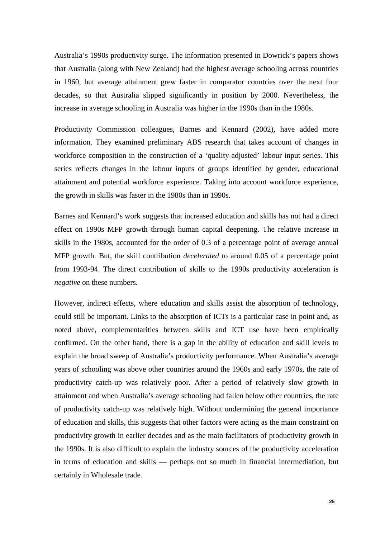Australia's 1990s productivity surge. The information presented in Dowrick's papers shows that Australia (along with New Zealand) had the highest average schooling across countries in 1960, but average attainment grew faster in comparator countries over the next four decades, so that Australia slipped significantly in position by 2000. Nevertheless, the increase in average schooling in Australia was higher in the 1990s than in the 1980s.

Productivity Commission colleagues, Barnes and Kennard (2002), have added more information. They examined preliminary ABS research that takes account of changes in workforce composition in the construction of a 'quality-adjusted' labour input series. This series reflects changes in the labour inputs of groups identified by gender, educational attainment and potential workforce experience. Taking into account workforce experience, the growth in skills was faster in the 1980s than in 1990s.

Barnes and Kennard's work suggests that increased education and skills has not had a direct effect on 1990s MFP growth through human capital deepening. The relative increase in skills in the 1980s, accounted for the order of 0.3 of a percentage point of average annual MFP growth. But, the skill contribution *decelerated* to around 0.05 of a percentage point from 1993-94. The direct contribution of skills to the 1990s productivity acceleration is *negative* on these numbers.

However, indirect effects, where education and skills assist the absorption of technology, could still be important. Links to the absorption of ICTs is a particular case in point and, as noted above, complementarities between skills and ICT use have been empirically confirmed. On the other hand, there is a gap in the ability of education and skill levels to explain the broad sweep of Australia's productivity performance. When Australia's average years of schooling was above other countries around the 1960s and early 1970s, the rate of productivity catch-up was relatively poor. After a period of relatively slow growth in attainment and when Australia's average schooling had fallen below other countries, the rate of productivity catch-up was relatively high. Without undermining the general importance of education and skills, this suggests that other factors were acting as the main constraint on productivity growth in earlier decades and as the main facilitators of productivity growth in the 1990s. It is also difficult to explain the industry sources of the productivity acceleration in terms of education and skills — perhaps not so much in financial intermediation, but certainly in Wholesale trade.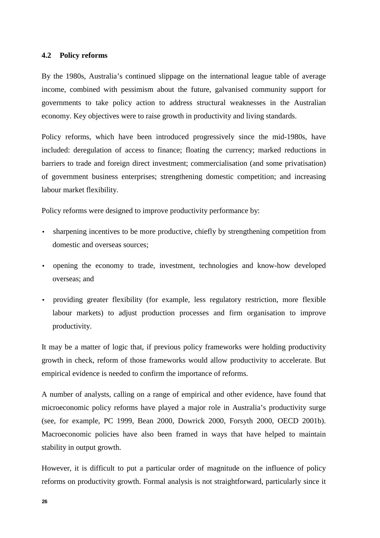### **4.2 Policy reforms**

By the 1980s, Australia's continued slippage on the international league table of average income, combined with pessimism about the future, galvanised community support for governments to take policy action to address structural weaknesses in the Australian economy. Key objectives were to raise growth in productivity and living standards.

Policy reforms, which have been introduced progressively since the mid-1980s, have included: deregulation of access to finance; floating the currency; marked reductions in barriers to trade and foreign direct investment; commercialisation (and some privatisation) of government business enterprises; strengthening domestic competition; and increasing labour market flexibility.

Policy reforms were designed to improve productivity performance by:

- sharpening incentives to be more productive, chiefly by strengthening competition from domestic and overseas sources;
- opening the economy to trade, investment, technologies and know-how developed overseas; and
- providing greater flexibility (for example, less regulatory restriction, more flexible labour markets) to adjust production processes and firm organisation to improve productivity.

It may be a matter of logic that, if previous policy frameworks were holding productivity growth in check, reform of those frameworks would allow productivity to accelerate. But empirical evidence is needed to confirm the importance of reforms.

A number of analysts, calling on a range of empirical and other evidence, have found that microeconomic policy reforms have played a major role in Australia's productivity surge (see, for example, PC 1999, Bean 2000, Dowrick 2000, Forsyth 2000, OECD 2001b). Macroeconomic policies have also been framed in ways that have helped to maintain stability in output growth.

However, it is difficult to put a particular order of magnitude on the influence of policy reforms on productivity growth. Formal analysis is not straightforward, particularly since it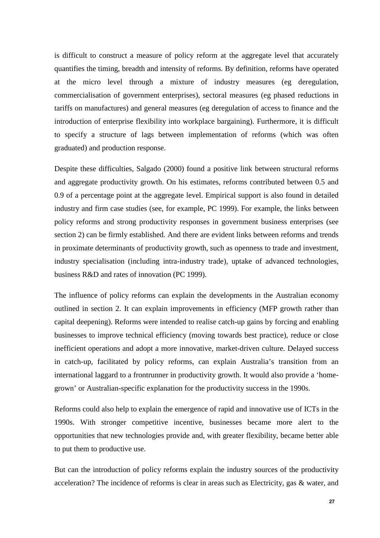is difficult to construct a measure of policy reform at the aggregate level that accurately quantifies the timing, breadth and intensity of reforms. By definition, reforms have operated at the micro level through a mixture of industry measures (eg deregulation, commercialisation of government enterprises), sectoral measures (eg phased reductions in tariffs on manufactures) and general measures (eg deregulation of access to finance and the introduction of enterprise flexibility into workplace bargaining). Furthermore, it is difficult to specify a structure of lags between implementation of reforms (which was often graduated) and production response.

Despite these difficulties, Salgado (2000) found a positive link between structural reforms and aggregate productivity growth. On his estimates, reforms contributed between 0.5 and 0.9 of a percentage point at the aggregate level. Empirical support is also found in detailed industry and firm case studies (see, for example, PC 1999). For example, the links between policy reforms and strong productivity responses in government business enterprises (see section 2) can be firmly established. And there are evident links between reforms and trends in proximate determinants of productivity growth, such as openness to trade and investment, industry specialisation (including intra-industry trade), uptake of advanced technologies, business R&D and rates of innovation (PC 1999).

The influence of policy reforms can explain the developments in the Australian economy outlined in section 2. It can explain improvements in efficiency (MFP growth rather than capital deepening). Reforms were intended to realise catch-up gains by forcing and enabling businesses to improve technical efficiency (moving towards best practice), reduce or close inefficient operations and adopt a more innovative, market-driven culture. Delayed success in catch-up, facilitated by policy reforms, can explain Australia's transition from an international laggard to a frontrunner in productivity growth. It would also provide a 'homegrown' or Australian-specific explanation for the productivity success in the 1990s.

Reforms could also help to explain the emergence of rapid and innovative use of ICTs in the 1990s. With stronger competitive incentive, businesses became more alert to the opportunities that new technologies provide and, with greater flexibility, became better able to put them to productive use.

But can the introduction of policy reforms explain the industry sources of the productivity acceleration? The incidence of reforms is clear in areas such as Electricity, gas & water, and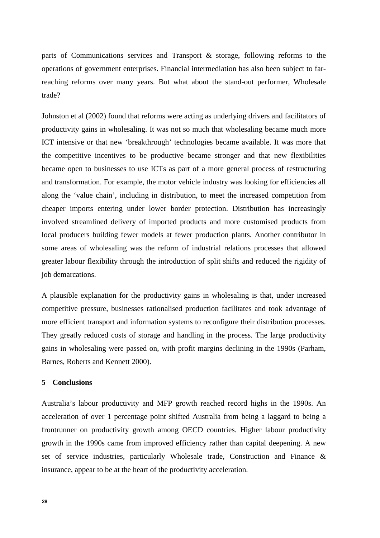parts of Communications services and Transport & storage, following reforms to the operations of government enterprises. Financial intermediation has also been subject to farreaching reforms over many years. But what about the stand-out performer, Wholesale trade?

Johnston et al (2002) found that reforms were acting as underlying drivers and facilitators of productivity gains in wholesaling. It was not so much that wholesaling became much more ICT intensive or that new 'breakthrough' technologies became available. It was more that the competitive incentives to be productive became stronger and that new flexibilities became open to businesses to use ICTs as part of a more general process of restructuring and transformation. For example, the motor vehicle industry was looking for efficiencies all along the 'value chain', including in distribution, to meet the increased competition from cheaper imports entering under lower border protection. Distribution has increasingly involved streamlined delivery of imported products and more customised products from local producers building fewer models at fewer production plants. Another contributor in some areas of wholesaling was the reform of industrial relations processes that allowed greater labour flexibility through the introduction of split shifts and reduced the rigidity of job demarcations.

A plausible explanation for the productivity gains in wholesaling is that, under increased competitive pressure, businesses rationalised production facilitates and took advantage of more efficient transport and information systems to reconfigure their distribution processes. They greatly reduced costs of storage and handling in the process. The large productivity gains in wholesaling were passed on, with profit margins declining in the 1990s (Parham, Barnes, Roberts and Kennett 2000).

## **5 Conclusions**

Australia's labour productivity and MFP growth reached record highs in the 1990s. An acceleration of over 1 percentage point shifted Australia from being a laggard to being a frontrunner on productivity growth among OECD countries. Higher labour productivity growth in the 1990s came from improved efficiency rather than capital deepening. A new set of service industries, particularly Wholesale trade, Construction and Finance & insurance, appear to be at the heart of the productivity acceleration.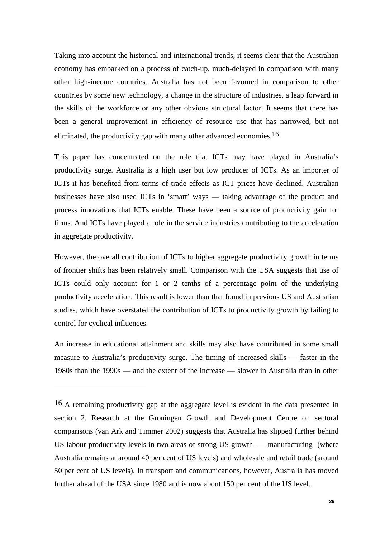Taking into account the historical and international trends, it seems clear that the Australian economy has embarked on a process of catch-up, much-delayed in comparison with many other high-income countries. Australia has not been favoured in comparison to other countries by some new technology, a change in the structure of industries, a leap forward in the skills of the workforce or any other obvious structural factor. It seems that there has been a general improvement in efficiency of resource use that has narrowed, but not eliminated, the productivity gap with many other advanced economies.16

This paper has concentrated on the role that ICTs may have played in Australia's productivity surge. Australia is a high user but low producer of ICTs. As an importer of ICTs it has benefited from terms of trade effects as ICT prices have declined. Australian businesses have also used ICTs in 'smart' ways — taking advantage of the product and process innovations that ICTs enable. These have been a source of productivity gain for firms. And ICTs have played a role in the service industries contributing to the acceleration in aggregate productivity.

However, the overall contribution of ICTs to higher aggregate productivity growth in terms of frontier shifts has been relatively small. Comparison with the USA suggests that use of ICTs could only account for 1 or 2 tenths of a percentage point of the underlying productivity acceleration. This result is lower than that found in previous US and Australian studies, which have overstated the contribution of ICTs to productivity growth by failing to control for cyclical influences.

An increase in educational attainment and skills may also have contributed in some small measure to Australia's productivity surge. The timing of increased skills — faster in the 1980s than the 1990s — and the extent of the increase — slower in Australia than in other

 $\overline{a}$ 

<sup>16</sup> A remaining productivity gap at the aggregate level is evident in the data presented in section 2. Research at the Groningen Growth and Development Centre on sectoral comparisons (van Ark and Timmer 2002) suggests that Australia has slipped further behind US labour productivity levels in two areas of strong US growth — manufacturing (where Australia remains at around 40 per cent of US levels) and wholesale and retail trade (around 50 per cent of US levels). In transport and communications, however, Australia has moved further ahead of the USA since 1980 and is now about 150 per cent of the US level.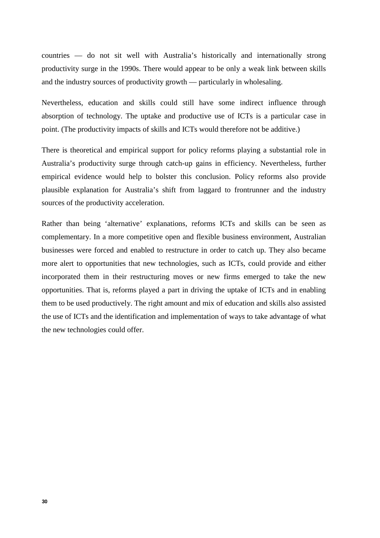countries — do not sit well with Australia's historically and internationally strong productivity surge in the 1990s. There would appear to be only a weak link between skills and the industry sources of productivity growth — particularly in wholesaling.

Nevertheless, education and skills could still have some indirect influence through absorption of technology. The uptake and productive use of ICTs is a particular case in point. (The productivity impacts of skills and ICTs would therefore not be additive.)

There is theoretical and empirical support for policy reforms playing a substantial role in Australia's productivity surge through catch-up gains in efficiency. Nevertheless, further empirical evidence would help to bolster this conclusion. Policy reforms also provide plausible explanation for Australia's shift from laggard to frontrunner and the industry sources of the productivity acceleration.

Rather than being 'alternative' explanations, reforms ICTs and skills can be seen as complementary. In a more competitive open and flexible business environment, Australian businesses were forced and enabled to restructure in order to catch up. They also became more alert to opportunities that new technologies, such as ICTs, could provide and either incorporated them in their restructuring moves or new firms emerged to take the new opportunities. That is, reforms played a part in driving the uptake of ICTs and in enabling them to be used productively. The right amount and mix of education and skills also assisted the use of ICTs and the identification and implementation of ways to take advantage of what the new technologies could offer.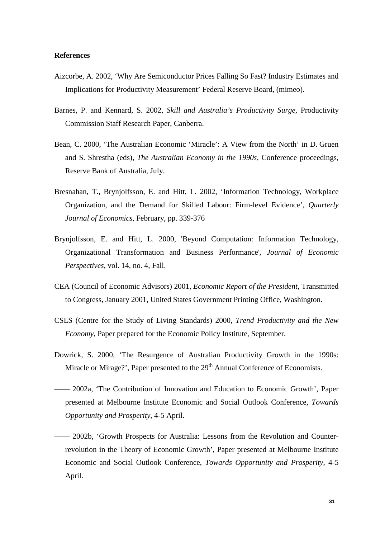#### **References**

- Aizcorbe, A. 2002, 'Why Are Semiconductor Prices Falling So Fast? Industry Estimates and Implications for Productivity Measurement' Federal Reserve Board, (mimeo).
- Barnes, P. and Kennard, S. 2002, *Skill and Australia's Productivity Surge*, Productivity Commission Staff Research Paper, Canberra.
- Bean, C. 2000, 'The Australian Economic 'Miracle': A View from the North' in D. Gruen and S. Shrestha (eds), *The Australian Economy in the 1990s*, Conference proceedings, Reserve Bank of Australia, July.
- Bresnahan, T., Brynjolfsson, E. and Hitt, L. 2002, 'Information Technology, Workplace Organization, and the Demand for Skilled Labour: Firm-level Evidence', *Quarterly Journal of Economics*, February, pp. 339-376
- Brynjolfsson, E. and Hitt, L. 2000, 'Beyond Computation: Information Technology, Organizational Transformation and Business Performance', *Journal of Economic Perspectives*, vol. 14, no. 4, Fall.
- CEA (Council of Economic Advisors) 2001, *Economic Report of the President*, Transmitted to Congress, January 2001, United States Government Printing Office, Washington.
- CSLS (Centre for the Study of Living Standards) 2000, *Trend Productivity and the New Economy*, Paper prepared for the Economic Policy Institute, September.
- Dowrick, S. 2000, 'The Resurgence of Australian Productivity Growth in the 1990s: Miracle or Mirage?', Paper presented to the 29<sup>th</sup> Annual Conference of Economists.
- —— 2002a, 'The Contribution of Innovation and Education to Economic Growth', Paper presented at Melbourne Institute Economic and Social Outlook Conference, *Towards Opportunity and Prosperity*, 4-5 April.
- —— 2002b, 'Growth Prospects for Australia: Lessons from the Revolution and Counterrevolution in the Theory of Economic Growth', Paper presented at Melbourne Institute Economic and Social Outlook Conference, *Towards Opportunity and Prosperity*, 4-5 April.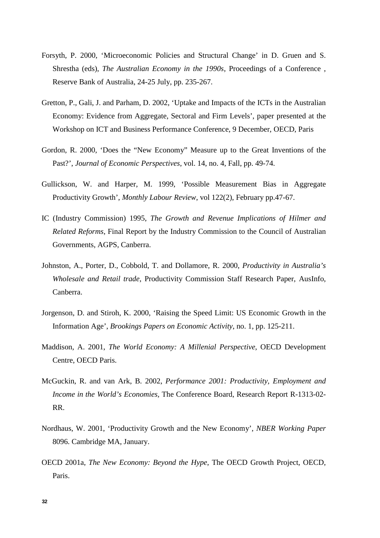- Forsyth, P. 2000, 'Microeconomic Policies and Structural Change' in D. Gruen and S. Shrestha (eds), *The Australian Economy in the 1990s*, Proceedings of a Conference , Reserve Bank of Australia, 24-25 July, pp. 235-267.
- Gretton, P., Gali, J. and Parham, D. 2002, 'Uptake and Impacts of the ICTs in the Australian Economy: Evidence from Aggregate, Sectoral and Firm Levels', paper presented at the Workshop on ICT and Business Performance Conference, 9 December, OECD, Paris
- Gordon, R. 2000, 'Does the "New Economy" Measure up to the Great Inventions of the Past?', *Journal of Economic Perspectives*, vol. 14, no. 4, Fall, pp. 49-74.
- Gullickson, W. and Harper, M. 1999, 'Possible Measurement Bias in Aggregate Productivity Growth', *Monthly Labour Review*, vol 122(2), February pp.47-67.
- IC (Industry Commission) 1995, *The Growth and Revenue Implications of Hilmer and Related Reforms*, Final Report by the Industry Commission to the Council of Australian Governments, AGPS, Canberra.
- Johnston, A., Porter, D., Cobbold, T. and Dollamore, R. 2000, *Productivity in Australia's Wholesale and Retail trade*, Productivity Commission Staff Research Paper, AusInfo, Canberra.
- Jorgenson, D. and Stiroh, K. 2000, 'Raising the Speed Limit: US Economic Growth in the Information Age', *Brookings Papers on Economic Activity*, no. 1, pp. 125-211.
- Maddison, A. 2001, *The World Economy: A Millenial Perspective*, OECD Development Centre, OECD Paris.
- McGuckin, R. and van Ark, B. 2002, *Performance 2001: Productivity, Employment and Income in the World's Economies,* The Conference Board, Research Report R-1313-02- RR.
- Nordhaus, W. 2001, 'Productivity Growth and the New Economy', *NBER Working Paper* 8096. Cambridge MA, January.
- OECD 2001a, *The New Economy: Beyond the Hype*, The OECD Growth Project, OECD, Paris.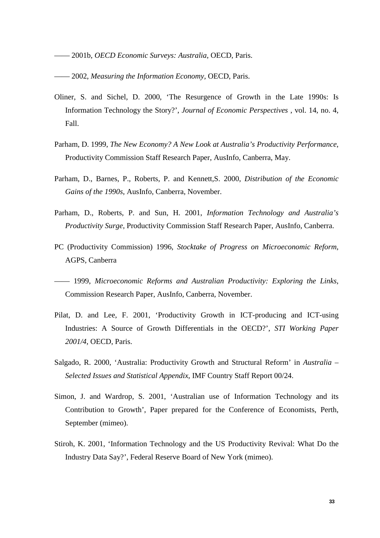—— 2001b, *OECD Economic Surveys: Australia*, OECD, Paris.

—— 2002, *Measuring the Information Economy,* OECD, Paris.

- Oliner, S. and Sichel, D. 2000, 'The Resurgence of Growth in the Late 1990s: Is Information Technology the Story?', *Journal of Economic Perspectives* , vol. 14, no. 4, Fall.
- Parham, D. 1999, *The New Economy? A New Look at Australia's Productivity Performance*, Productivity Commission Staff Research Paper, AusInfo, Canberra, May.
- Parham, D., Barnes, P., Roberts, P. and Kennett,S. 2000, *Distribution of the Economic Gains of the 1990s*, AusInfo, Canberra, November.
- Parham, D., Roberts, P. and Sun, H. 2001, *Information Technology and Australia's Productivity Surge,* Productivity Commission Staff Research Paper, AusInfo, Canberra.
- PC (Productivity Commission) 1996, *Stocktake of Progress on Microeconomic Reform*, AGPS, Canberra
- —— 1999, *Microeconomic Reforms and Australian Productivity: Exploring the Links*, Commission Research Paper, AusInfo, Canberra, November.
- Pilat, D. and Lee, F. 2001, 'Productivity Growth in ICT-producing and ICT-using Industries: A Source of Growth Differentials in the OECD?', *STI Working Paper 2001/4*, OECD, Paris.
- Salgado, R. 2000, 'Australia: Productivity Growth and Structural Reform' in *Australia – Selected Issues and Statistical Appendix*, IMF Country Staff Report 00/24.
- Simon, J. and Wardrop, S. 2001, 'Australian use of Information Technology and its Contribution to Growth', Paper prepared for the Conference of Economists, Perth, September (mimeo).
- Stiroh, K. 2001, 'Information Technology and the US Productivity Revival: What Do the Industry Data Say?', Federal Reserve Board of New York (mimeo).